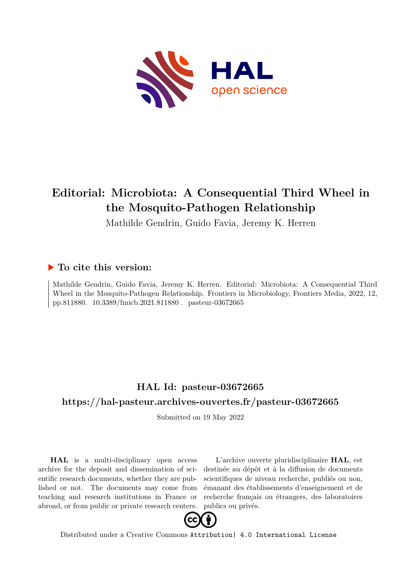

# **Editorial: Microbiota: A Consequential Third Wheel in the Mosquito-Pathogen Relationship**

Mathilde Gendrin, Guido Favia, Jeremy K. Herren

## **To cite this version:**

Mathilde Gendrin, Guido Favia, Jeremy K. Herren. Editorial: Microbiota: A Consequential Third Wheel in the Mosquito-Pathogen Relationship. Frontiers in Microbiology, Frontiers Media, 2022, 12, pp.811880. 10.3389/fmicb.2021.811880. pasteur-03672665

# **HAL Id: pasteur-03672665 <https://hal-pasteur.archives-ouvertes.fr/pasteur-03672665>**

Submitted on 19 May 2022

**HAL** is a multi-disciplinary open access archive for the deposit and dissemination of scientific research documents, whether they are published or not. The documents may come from teaching and research institutions in France or abroad, or from public or private research centers.

L'archive ouverte pluridisciplinaire **HAL**, est destinée au dépôt et à la diffusion de documents scientifiques de niveau recherche, publiés ou non, émanant des établissements d'enseignement et de recherche français ou étrangers, des laboratoires publics ou privés.



Distributed under a Creative Commons [Attribution| 4.0 International License](http://creativecommons.org/licenses/by/4.0/)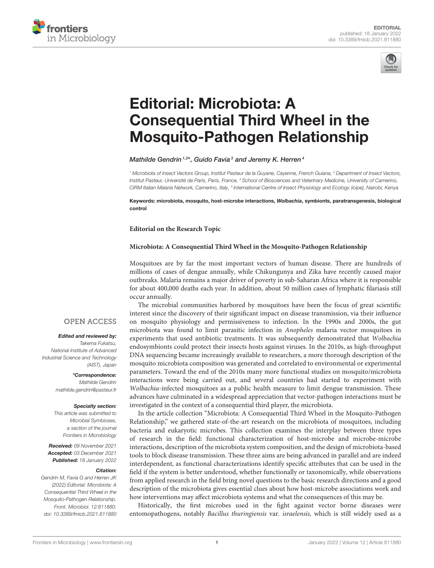



# Editorial: Microbiota: A [Consequential Third Wheel in the](https://www.frontiersin.org/articles/10.3389/fmicb.2021.811880/full) Mosquito-Pathogen Relationship

### Mathilde Gendrin  $1,2*$ , Guido Favia $^3$  and Jeremy K. Herren  $^4$

<sup>1</sup> Microbiota of Insect Vectors Group, Institut Pasteur de la Guyane, Cayenne, French Guiana, <sup>2</sup> Department of Insect Vectors, Institut Pasteur, Université de Paris, Paris, France, <sup>3</sup> School of Biosciences and Veterinary Medicine, University of Camerino, CIRM Italian Malaria Network, Camerino, Italy, <sup>4</sup> International Centre of Insect Physiology and Ecology (icipe), Nairobi, Kenya

Keywords: microbiota, mosquito, host-microbe interactions, Wolbachia, symbionts, paratransgenesis, biological control

### **Editorial on the Research Topic**

### **[Microbiota: A Consequential Third Wheel in the Mosquito-Pathogen Relationship](https://www.frontiersin.org/research-topics/13719/microbiota-a-consequential-third-wheel-in-the-mosquito-pathogen-relationship)**

Mosquitoes are by far the most important vectors of human disease. There are hundreds of millions of cases of dengue annually, while Chikungunya and Zika have recently caused major outbreaks. Malaria remains a major driver of poverty in sub-Saharan Africa where it is responsible for about 400,000 deaths each year. In addition, about 50 million cases of lymphatic filariasis still occur annually.

The microbial communities harbored by mosquitoes have been the focus of great scientific interest since the discovery of their significant impact on disease transmission, via their influence on mosquito physiology and permissiveness to infection. In the 1990s and 2000s, the gut microbiota was found to limit parasitic infection in Anopheles malaria vector mosquitoes in experiments that used antibiotic treatments. It was subsequently demonstrated that Wolbachia endosymbionts could protect their insects hosts against viruses. In the 2010s, as high-throughput DNA sequencing became increasingly available to researchers, a more thorough description of the mosquito microbiota composition was generated and correlated to environmental or experimental parameters. Toward the end of the 2010s many more functional studies on mosquito/microbiota interactions were being carried out, and several countries had started to experiment with Wolbachia-infected mosquitoes as a public health measure to limit dengue transmission. These advances have culminated in a widespread appreciation that vector-pathogen interactions must be investigated in the context of a consequential third player, the microbiota.

In the article collection "Microbiota: A Consequential Third Wheel in the Mosquito-Pathogen Relationship," we gathered state-of-the-art research on the microbiota of mosquitoes, including bacteria and eukaryotic microbes. This collection examines the interplay between three types of research in the field: functional characterization of host-microbe and microbe-microbe interactions, description of the microbiota system composition, and the design of microbiota-based tools to block disease transmission. These three aims are being advanced in parallel and are indeed interdependent, as functional characterizations identify specific attributes that can be used in the field if the system is better understood, whether functionally or taxonomically, while observations from applied research in the field bring novel questions to the basic research directions and a good description of the microbiota gives essential clues about how host-microbe associations work and how interventions may affect microbiota systems and what the consequences of this may be.

Historically, the first microbes used in the fight against vector borne diseases were entomopathogens, notably Bacillus thuringiensis var. israelensis, which is still widely used as a

### **OPEN ACCESS**

#### Edited and reviewed by:

Takema Fukatsu, National Institute of Advanced Industrial Science and Technology (AIST), Japan

> \*Correspondence: Mathilde Gendrin [mathilde.gendrin@pasteur.fr](mailto:mathilde.gendrin@pasteur.fr)

#### Specialty section:

This article was submitted to Microbial Symbioses, a section of the journal Frontiers in Microbiology

Received: 09 November 2021 Accepted: 03 December 2021 Published: 18 January 2022

#### Citation:

Gendrin M, Favia G and Herren JK (2022) Editorial: Microbiota: A Consequential Third Wheel in the Mosquito-Pathogen Relationship. Front. Microbiol. 12:811880. doi: [10.3389/fmicb.2021.811880](https://doi.org/10.3389/fmicb.2021.811880)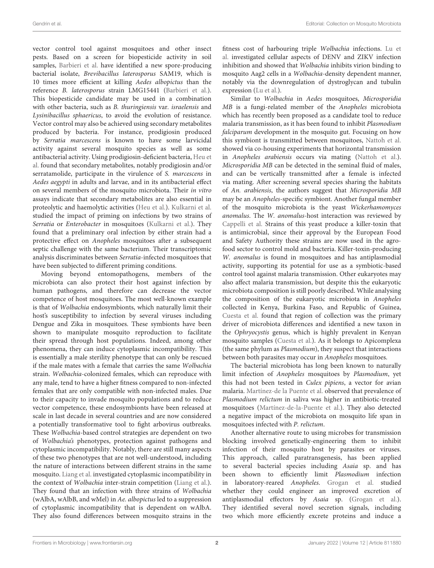vector control tool against mosquitoes and other insect pests. Based on a screen for biopesticide activity in soil samples, [Barbieri et al.](https://doi.org/10.3389/fmicb.2021.624014) have identified a new spore-producing bacterial isolate, Brevibacillus laterosporus SAM19, which is 10 times more efficient at killing Aedes albopictus than the reference B. laterosporus strain LMG15441 [\(Barbieri et al.\)](https://doi.org/10.3389/fmicb.2021.624014). This biopesticide candidate may be used in a combination with other bacteria, such as B. thuringiensis var. israelensis and Lysinibacillus sphaericus, to avoid the evolution of resistance. Vector control may also be achieved using secondary metabolites produced by bacteria. For instance, prodigiosin produced by Serratia marcescens is known to have some larvicidal activity against several mosquito species as well as some antibacterial activity. Using prodigiosin-deficient bacteria, Heu et al. [found that secondary metabolites, notably prodigiosin and/or](https://doi.org/10.3389/fmicb.2021.645701) serratamolide, participate in the virulence of S. marcescens in Aedes aegypti in adults and larvae, and in its antibacterial effect on several members of the mosquito microbiota. Their in vitro assays indicate that secondary metabolites are also essential in proteolytic and haemolytic activities [\(Heu et al.\)](https://doi.org/10.3389/fmicb.2021.645701). [Kulkarni et al.](https://doi.org/10.3389/fmicb.2021.649213) studied the impact of priming on infections by two strains of Serratia or Enterobacter in mosquitoes [\(Kulkarni et al.\)](https://doi.org/10.3389/fmicb.2021.649213). They found that a preliminary oral infection by either strain had a protective effect on Anopheles mosquitoes after a subsequent septic challenge with the same bacterium. Their transcriptomic analysis discriminates between Serratia-infected mosquitoes that have been subjected to different priming conditions.

Moving beyond entomopathogens, members of the microbiota can also protect their host against infection by human pathogens, and therefore can decrease the vector competence of host mosquitoes. The most well-known example is that of Wolbachia endosymbionts, which naturally limit their host's susceptibility to infection by several viruses including Dengue and Zika in mosquitoes. These symbionts have been shown to manipulate mosquito reproduction to facilitate their spread through host populations. Indeed, among other phenomena, they can induce cytoplasmic incompatibility. This is essentially a male sterility phenotype that can only be rescued if the male mates with a female that carries the same Wolbachia strain. Wolbachia-colonized females, which can reproduce with any male, tend to have a higher fitness compared to non-infected females that are only compatible with non-infected males. Due to their capacity to invade mosquito populations and to reduce vector competence, these endosymbionts have been released at scale in last decade in several countries and are now considered a potentially transformative tool to fight arbovirus outbreaks. These Wolbachia-based control strategies are dependent on two of Wolbachia's phenotypes, protection against pathogens and cytoplasmic incompatibility. Notably, there are still many aspects of these two phenotypes that are not well-understood, including the nature of interactions between different strains in the same mosquito. [Liang et al.](https://doi.org/10.3389/fmicb.2020.01638) investigated cytoplasmic incompatibility in the context of Wolbachia inter-strain competition [\(Liang et al.\)](https://doi.org/10.3389/fmicb.2020.01638). They found that an infection with three strains of Wolbachia (wAlbA, wAlbB, and wMel) in Ae. albopictus led to a suppression of cytoplasmic incompatibility that is dependent on wAlbA. They also found differences between mosquito strains in the

fitness cost of harbouring triple Wolbachia infections. Lu et al. [investigated cellular aspects of DENV and ZIKV infection](https://doi.org/10.3389/fmicb.2020.01750) inhibition and showed that Wolbachia inhibits virion binding to mosquito Aag2 cells in a Wolbachia-density dependent manner, notably via the downregulation of dystroglycan and tubulin expression [\(Lu et al.\)](https://doi.org/10.3389/fmicb.2020.01750).

Similar to Wolbachia in Aedes mosquitoes, Microsporidia MB is a fungi-related member of the Anopheles microbiota which has recently been proposed as a candidate tool to reduce malaria transmission, as it has been found to inhibit Plasmodium falciparum development in the mosquito gut. Focusing on how this symbiont is transmitted between mosquitoes, [Nattoh et al.](https://doi.org/10.3389/fmicb.2021.647183) showed via co-housing experiments that horizontal transmission in Anopheles arabiensis occurs via mating [\(Nattoh et al.\)](https://doi.org/10.3389/fmicb.2021.647183). Microsporidia MB can be detected in the seminal fluid of males, and can be vertically transmitted after a female is infected via mating. After screening several species sharing the habitats of An. arabiensis, the authors suggest that Microsporidia MB may be an Anopheles-specific symbiont. Another fungal member of the mosquito microbiota is the yeast Wickerhamomyces anomalus. The W. anomalus-host interaction was reviewed by [Cappelli et al.](https://doi.org/10.3389/fmicb.2020.621605) Strains of this yeast produce a killer-toxin that is antimicrobial, since their approval by the European Food and Safety Authority these strains are now used in the agrofood sector to control mold and bacteria. Killer-toxin-producing W. anomalus is found in mosquitoes and has antiplasmodial activity, supporting its potential for use as a symbiotic-based control tool against malaria transmission. Other eukaryotes may also affect malaria transmission, but despite this the eukaryotic microbiota composition is still poorly described. While analysing the composition of the eukaryotic microbiota in Anopheles collected in Kenya, Burkina Faso, and Republic of Guinea, [Cuesta et al.](https://doi.org/10.3389/fmicb.2021.635772) found that region of collection was the primary driver of microbiota differences and identified a new taxon in the Ophryocystis genus, which is highly prevalent in Kenyan mosquito samples [\(Cuesta et al.\)](https://doi.org/10.3389/fmicb.2021.635772). As it belongs to Apicomplexa (the same phylum as Plasmodium), they suspect that interactions between both parasites may occur in Anopheles mosquitoes.

The bacterial microbiota has long been known to naturally limit infection of Anopheles mosquitoes by Plasmodium, yet this had not been tested in Culex pipiens, a vector for avian malaria. [Martínez-de la Puente et al.](https://doi.org/10.3389/fmicb.2020.562220) observed that prevalence of Plasmodium relictum in saliva was higher in antibiotic-treated mosquitoes [\(Martínez-de-la-Puente et al.\)](https://doi.org/10.3389/fmicb.2020.562220). They also detected a negative impact of the microbiota on mosquito life span in mosquitoes infected with P. relictum.

Another alternative route to using microbes for transmission blocking involved genetically-engineering them to inhibit infection of their mosquito host by parasites or viruses. This approach, called paratransgenesis, has been applied to several bacterial species including Asaia sp. and has been shown to efficiently limit Plasmodium infection in laboratory-reared Anopheles. [Grogan et al.](https://doi.org/10.3389/fmicb.2021.633667) studied whether they could engineer an improved excretion of antiplasmodial effectors by Asaia sp. [\(Grogan et al.\)](https://doi.org/10.3389/fmicb.2021.633667). They identified several novel secretion signals, including two which more efficiently excrete proteins and induce a